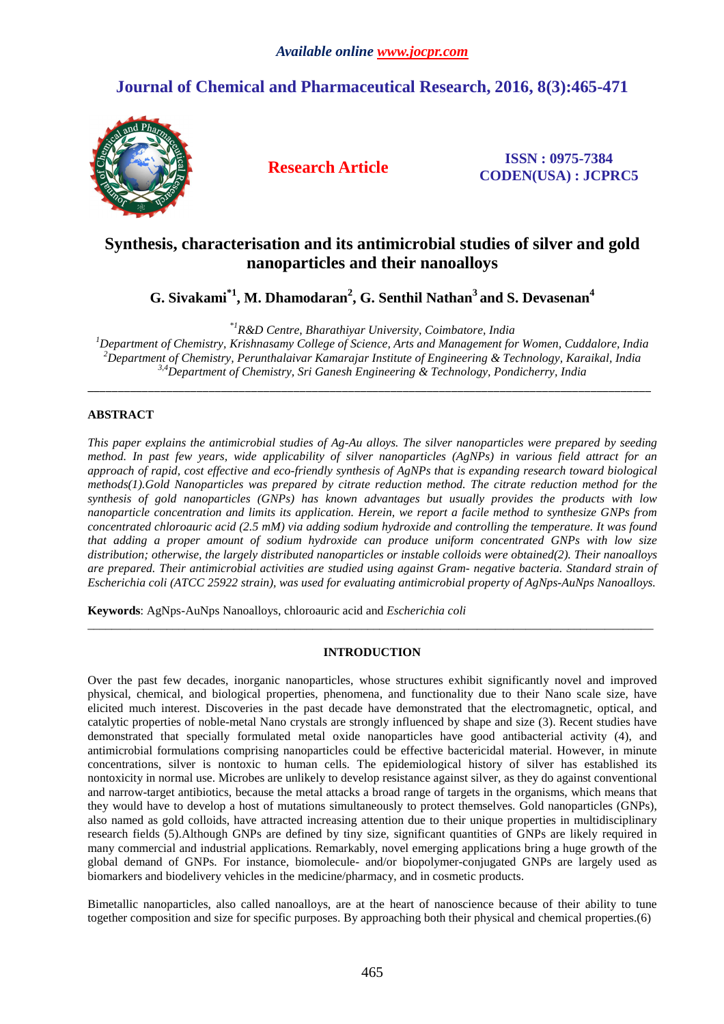# **Journal of Chemical and Pharmaceutical Research, 2016, 8(3):465-471**



**Research Article ISSN : 0975-7384 CODEN(USA) : JCPRC5**

# **Synthesis, characterisation and its antimicrobial studies of silver and gold nanoparticles and their nanoalloys**

**G. Sivakami\*1, M. Dhamodaran<sup>2</sup> , G. Senthil Nathan<sup>3</sup>and S. Devasenan<sup>4</sup>**

*\*1R&D Centre, Bharathiyar University, Coimbatore, India* 

*<sup>1</sup>Department of Chemistry, Krishnasamy College of Science, Arts and Management for Women, Cuddalore, India <sup>2</sup>Department of Chemistry, Perunthalaivar Kamarajar Institute of Engineering & Technology, Karaikal, India 3,4Department of Chemistry, Sri Ganesh Engineering & Technology, Pondicherry, India* 

\_\_\_\_\_\_\_\_\_\_\_\_\_\_\_\_\_\_\_\_\_\_\_\_\_\_\_\_\_\_\_\_\_\_\_\_\_\_\_\_\_\_\_\_\_\_\_\_\_\_\_\_\_\_\_\_\_\_\_\_\_\_\_\_\_\_\_\_\_\_\_\_\_\_\_\_\_\_\_\_\_\_\_\_\_\_\_\_\_\_\_\_\_

# **ABSTRACT**

*This paper explains the antimicrobial studies of Ag-Au alloys. The silver nanoparticles were prepared by seeding method. In past few years, wide applicability of silver nanoparticles (AgNPs) in various field attract for an approach of rapid, cost effective and eco-friendly synthesis of AgNPs that is expanding research toward biological methods(1).Gold Nanoparticles was prepared by citrate reduction method. The citrate reduction method for the synthesis of gold nanoparticles (GNPs) has known advantages but usually provides the products with low nanoparticle concentration and limits its application. Herein, we report a facile method to synthesize GNPs from concentrated chloroauric acid (2.5 mM) via adding sodium hydroxide and controlling the temperature. It was found that adding a proper amount of sodium hydroxide can produce uniform concentrated GNPs with low size distribution; otherwise, the largely distributed nanoparticles or instable colloids were obtained(2). Their nanoalloys are prepared. Their antimicrobial activities are studied using against Gram- negative bacteria. Standard strain of Escherichia coli (ATCC 25922 strain), was used for evaluating antimicrobial property of AgNps-AuNps Nanoalloys.* 

**Keywords**: AgNps-AuNps Nanoalloys, chloroauric acid and *Escherichia coli* 

# **INTRODUCTION**

\_\_\_\_\_\_\_\_\_\_\_\_\_\_\_\_\_\_\_\_\_\_\_\_\_\_\_\_\_\_\_\_\_\_\_\_\_\_\_\_\_\_\_\_\_\_\_\_\_\_\_\_\_\_\_\_\_\_\_\_\_\_\_\_\_\_\_\_\_\_\_\_\_\_\_\_\_\_\_\_\_\_\_\_\_\_\_\_\_\_\_\_\_

Over the past few decades, inorganic nanoparticles, whose structures exhibit significantly novel and improved physical, chemical, and biological properties, phenomena, and functionality due to their Nano scale size, have elicited much interest. Discoveries in the past decade have demonstrated that the electromagnetic, optical, and catalytic properties of noble-metal Nano crystals are strongly influenced by shape and size (3). Recent studies have demonstrated that specially formulated metal oxide nanoparticles have good antibacterial activity (4), and antimicrobial formulations comprising nanoparticles could be effective bactericidal material. However, in minute concentrations, silver is nontoxic to human cells. The epidemiological history of silver has established its nontoxicity in normal use. Microbes are unlikely to develop resistance against silver, as they do against conventional and narrow-target antibiotics, because the metal attacks a broad range of targets in the organisms, which means that they would have to develop a host of mutations simultaneously to protect themselves. Gold nanoparticles (GNPs), also named as gold colloids, have attracted increasing attention due to their unique properties in multidisciplinary research fields (5).Although GNPs are defined by tiny size, significant quantities of GNPs are likely required in many commercial and industrial applications. Remarkably, novel emerging applications bring a huge growth of the global demand of GNPs. For instance, biomolecule- and/or biopolymer-conjugated GNPs are largely used as biomarkers and biodelivery vehicles in the medicine/pharmacy, and in cosmetic products.

Bimetallic nanoparticles, also called nanoalloys, are at the heart of nanoscience because of their ability to tune together composition and size for specific purposes. By approaching both their physical and chemical properties.(6)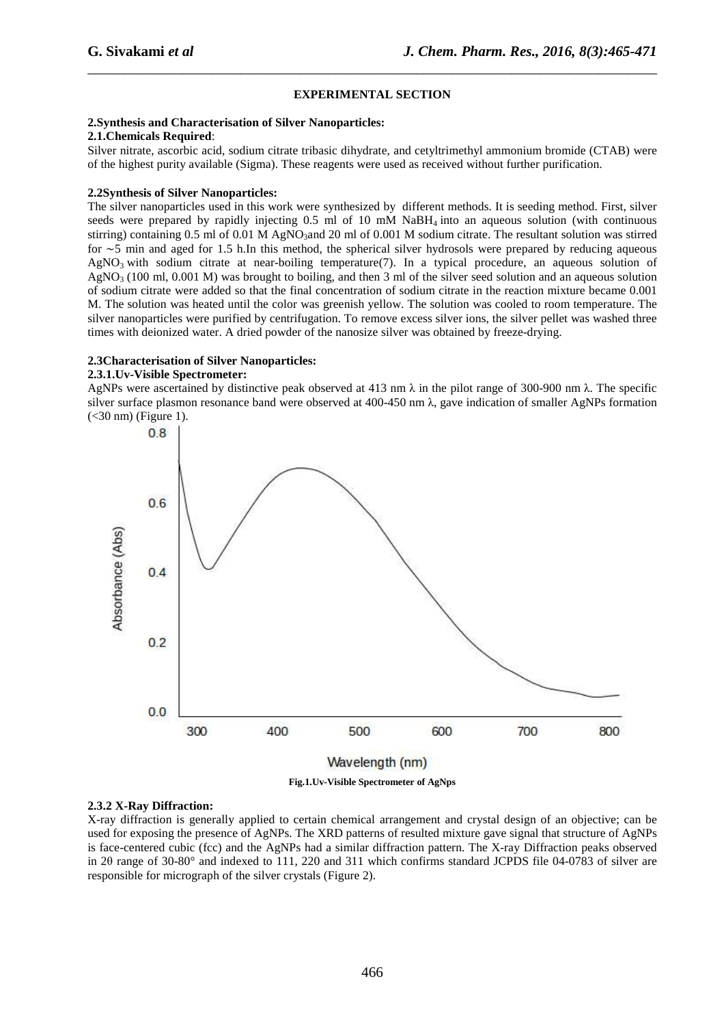## **EXPERIMENTAL SECTION**

\_\_\_\_\_\_\_\_\_\_\_\_\_\_\_\_\_\_\_\_\_\_\_\_\_\_\_\_\_\_\_\_\_\_\_\_\_\_\_\_\_\_\_\_\_\_\_\_\_\_\_\_\_\_\_\_\_\_\_\_\_\_\_\_\_\_\_\_\_\_\_\_\_\_\_\_\_\_

#### **2.Synthesis and Characterisation of Silver Nanoparticles:**

#### **2.1.Chemicals Required**:

Silver nitrate, ascorbic acid, sodium citrate tribasic dihydrate, and cetyltrimethyl ammonium bromide (CTAB) were of the highest purity available (Sigma). These reagents were used as received without further purification.

## **2.2Synthesis of Silver Nanoparticles:**

The silver nanoparticles used in this work were synthesized by different methods. It is seeding method. First, silver seeds were prepared by rapidly injecting  $0.5$  ml of 10 mM NaBH<sub>4</sub> into an aqueous solution (with continuous stirring) containing 0.5 ml of 0.01 M AgNO<sub>3</sub>and 20 ml of 0.001 M sodium citrate. The resultant solution was stirred for ∼5 min and aged for 1.5 h.In this method, the spherical silver hydrosols were prepared by reducing aqueous  $AgNO<sub>3</sub>$  with sodium citrate at near-boiling temperature(7). In a typical procedure, an aqueous solution of  $AgNO<sub>3</sub>$  (100 ml, 0.001 M) was brought to boiling, and then 3 ml of the silver seed solution and an aqueous solution of sodium citrate were added so that the final concentration of sodium citrate in the reaction mixture became 0.001 M. The solution was heated until the color was greenish yellow. The solution was cooled to room temperature. The silver nanoparticles were purified by centrifugation. To remove excess silver ions, the silver pellet was washed three times with deionized water. A dried powder of the nanosize silver was obtained by freeze-drying.

## **2.3Characterisation of Silver Nanoparticles:**

## **2.3.1.Uv-Visible Spectrometer:**

AgNPs were ascertained by distinctive peak observed at 413 nm  $\lambda$  in the pilot range of 300-900 nm  $\lambda$ . The specific silver surface plasmon resonance band were observed at 400-450 nm λ, gave indication of smaller AgNPs formation (<30 nm) (Figure 1).



**Fig.1.Uv-Visible Spectrometer of AgNps** 

# **2.3.2 X-Ray Diffraction:**

X-ray diffraction is generally applied to certain chemical arrangement and crystal design of an objective; can be used for exposing the presence of AgNPs. The XRD patterns of resulted mixture gave signal that structure of AgNPs is face-centered cubic (fcc) and the AgNPs had a similar diffraction pattern. The X-ray Diffraction peaks observed in 2θ range of 30-80° and indexed to 111, 220 and 311 which confirms standard JCPDS file 04-0783 of silver are responsible for micrograph of the silver crystals (Figure 2).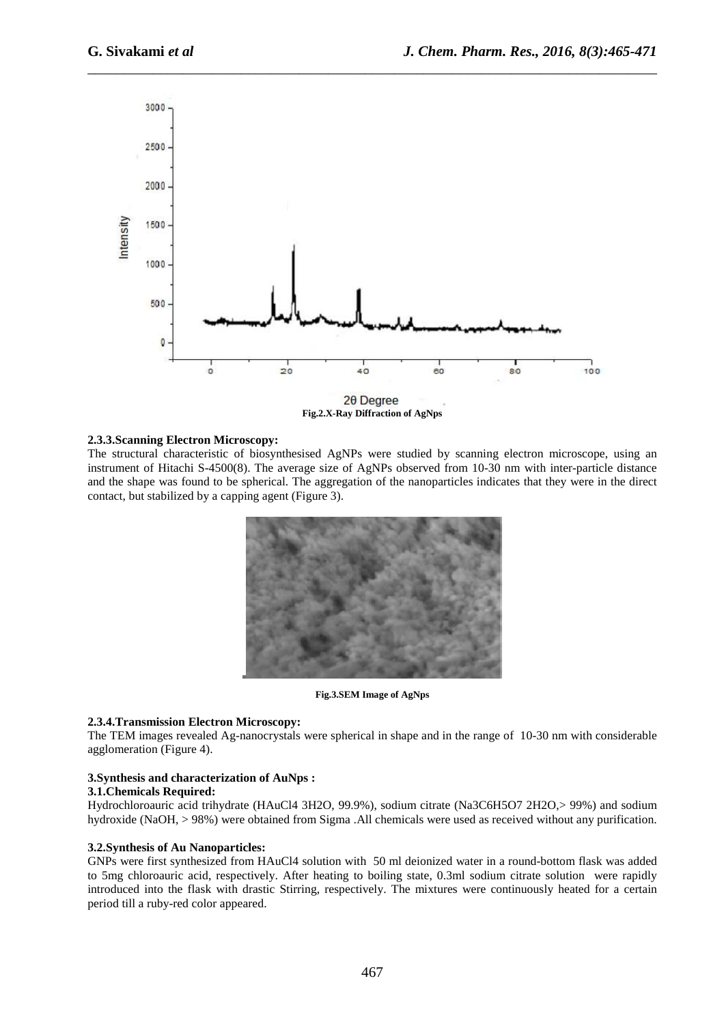

\_\_\_\_\_\_\_\_\_\_\_\_\_\_\_\_\_\_\_\_\_\_\_\_\_\_\_\_\_\_\_\_\_\_\_\_\_\_\_\_\_\_\_\_\_\_\_\_\_\_\_\_\_\_\_\_\_\_\_\_\_\_\_\_\_\_\_\_\_\_\_\_\_\_\_\_\_\_

**Fig.2.X-Ray Diffraction of AgNps** 

## **2.3.3.Scanning Electron Microscopy:**

The structural characteristic of biosynthesised AgNPs were studied by scanning electron microscope, using an instrument of Hitachi S-4500(8). The average size of AgNPs observed from 10-30 nm with inter-particle distance and the shape was found to be spherical. The aggregation of the nanoparticles indicates that they were in the direct contact, but stabilized by a capping agent (Figure 3).



**Fig.3.SEM Image of AgNps** 

## **2.3.4.Transmission Electron Microscopy:**

The TEM images revealed Ag-nanocrystals were spherical in shape and in the range of 10-30 nm with considerable agglomeration (Figure 4).

## **3.Synthesis and characterization of AuNps :**

## **3.1.Chemicals Required:**

Hydrochloroauric acid trihydrate (HAuCl4 3H2O, 99.9%), sodium citrate (Na3C6H5O7 2H2O,> 99%) and sodium hydroxide (NaOH, > 98%) were obtained from Sigma .All chemicals were used as received without any purification.

## **3.2.Synthesis of Au Nanoparticles:**

GNPs were first synthesized from HAuCl4 solution with 50 ml deionized water in a round-bottom flask was added to 5mg chloroauric acid, respectively. After heating to boiling state, 0.3ml sodium citrate solution were rapidly introduced into the flask with drastic Stirring, respectively. The mixtures were continuously heated for a certain period till a ruby-red color appeared.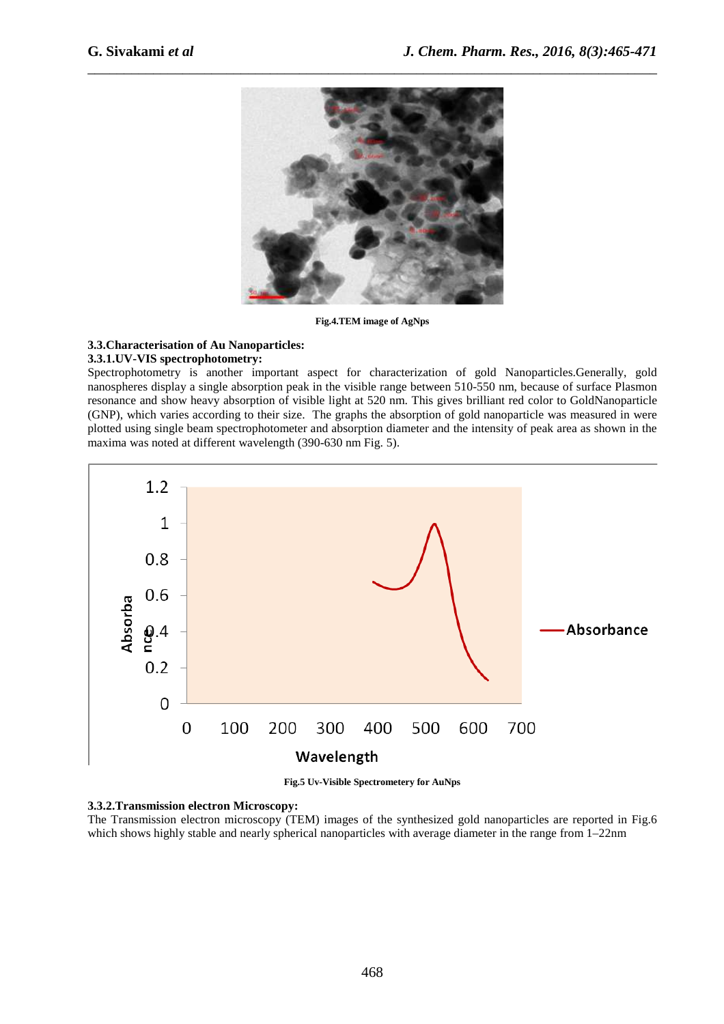

**Fig.4.TEM image of AgNps** 

# **3.3.Characterisation of Au Nanoparticles:**

## **3.3.1.UV-VIS spectrophotometry:**

Spectrophotometry is another important aspect for characterization of gold Nanoparticles.Generally, gold nanospheres display a single absorption peak in the visible range between 510-550 nm, because of surface Plasmon resonance and show heavy absorption of visible light at 520 nm. This gives brilliant red color to GoldNanoparticle (GNP), which varies according to their size. The graphs the absorption of gold nanoparticle was measured in were plotted using single beam spectrophotometer and absorption diameter and the intensity of peak area as shown in the maxima was noted at different wavelength (390-630 nm Fig. 5).



**Fig.5 Uv-Visible Spectrometery for AuNps** 

#### **3.3.2.Transmission electron Microscopy:**

The Transmission electron microscopy (TEM) images of the synthesized gold nanoparticles are reported in Fig.6 which shows highly stable and nearly spherical nanoparticles with average diameter in the range from 1–22nm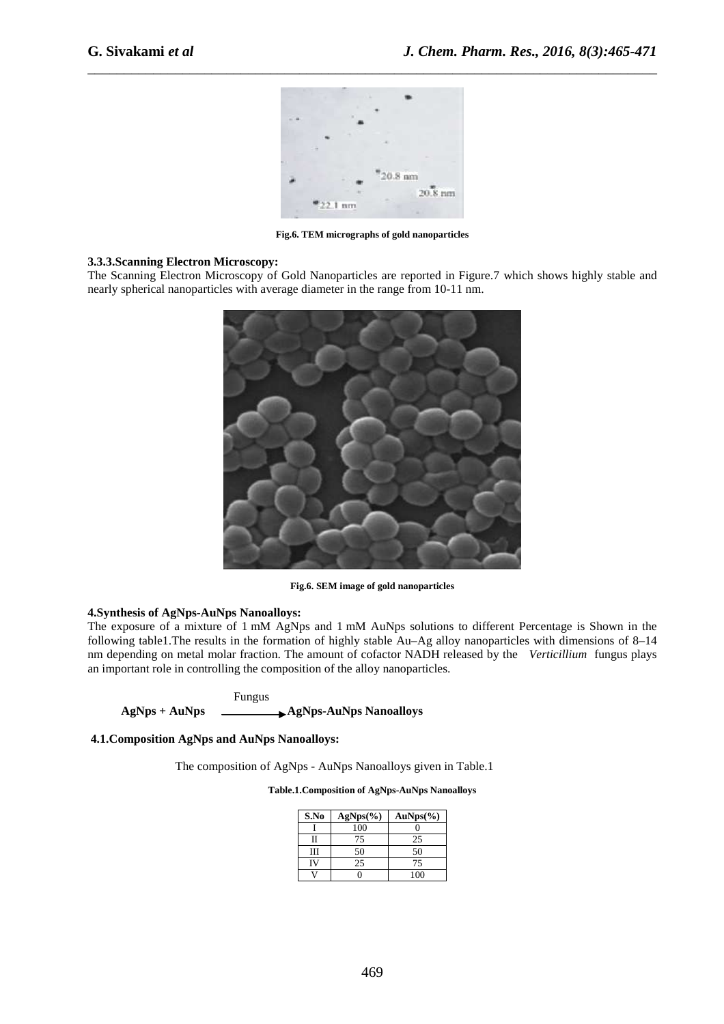

\_\_\_\_\_\_\_\_\_\_\_\_\_\_\_\_\_\_\_\_\_\_\_\_\_\_\_\_\_\_\_\_\_\_\_\_\_\_\_\_\_\_\_\_\_\_\_\_\_\_\_\_\_\_\_\_\_\_\_\_\_\_\_\_\_\_\_\_\_\_\_\_\_\_\_\_\_\_

**Fig.6. TEM micrographs of gold nanoparticles** 

# **3.3.3.Scanning Electron Microscopy:**

The Scanning Electron Microscopy of Gold Nanoparticles are reported in Figure.7 which shows highly stable and nearly spherical nanoparticles with average diameter in the range from 10-11 nm.



**Fig.6. SEM image of gold nanoparticles** 

## **4.Synthesis of AgNps-AuNps Nanoalloys:**

The exposure of a mixture of 1 mM AgNps and 1 mM AuNps solutions to different Percentage is Shown in the following table1.The results in the formation of highly stable Au–Ag alloy nanoparticles with dimensions of 8–14 nm depending on metal molar fraction. The amount of cofactor NADH released by the *Verticillium* fungus plays an important role in controlling the composition of the alloy nanoparticles.

 Fungus AgNps + AuNps **Agnps**-AuNps Nanoalloys

 **4.1.Composition AgNps and AuNps Nanoalloys:** 

The composition of AgNps - AuNps Nanoalloys given in Table.1

**Table.1.Composition of AgNps-AuNps Nanoalloys** 

| S.No | $AgNps(\%)$ | $AuNps(\%)$ |
|------|-------------|-------------|
|      | 100         |             |
| Н    | 75          | 25          |
| Ш    | 50          | 50          |
|      | 25          | 75          |
|      |             | 100         |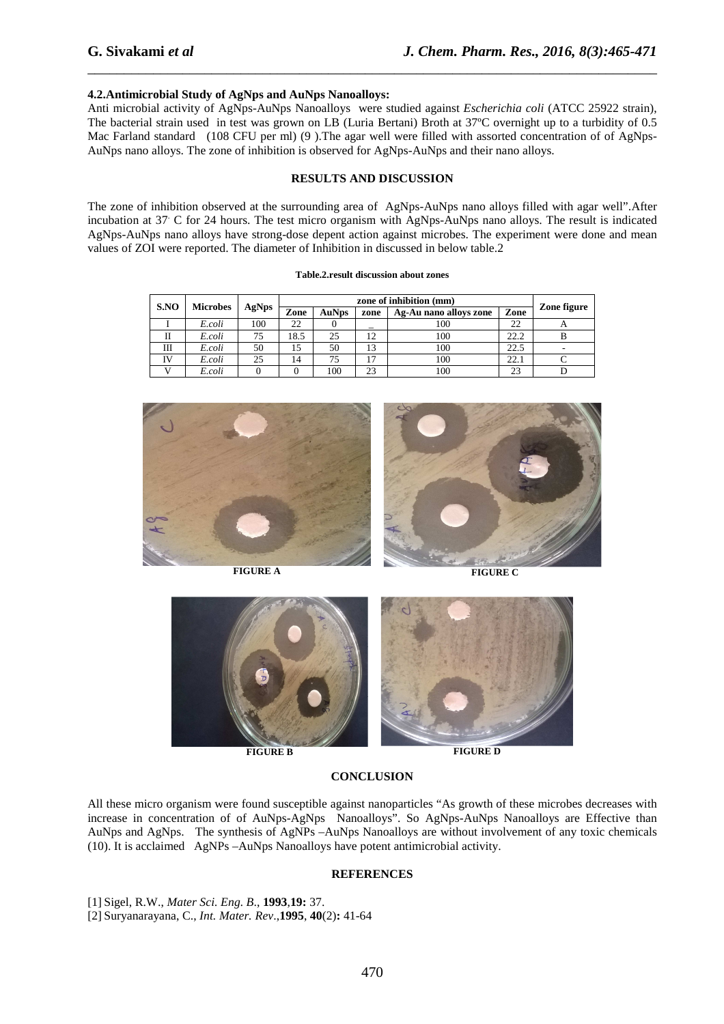## **4.2.Antimicrobial Study of AgNps and AuNps Nanoalloys:**

Anti microbial activity of AgNps-AuNps Nanoalloys were studied against *Escherichia coli* (ATCC 25922 strain), The bacterial strain used in test was grown on LB (Luria Bertani) Broth at 37ºC overnight up to a turbidity of 0.5 Mac Farland standard (108 CFU per ml) (9). The agar well were filled with assorted concentration of of AgNps-AuNps nano alloys. The zone of inhibition is observed for AgNps-AuNps and their nano alloys.

\_\_\_\_\_\_\_\_\_\_\_\_\_\_\_\_\_\_\_\_\_\_\_\_\_\_\_\_\_\_\_\_\_\_\_\_\_\_\_\_\_\_\_\_\_\_\_\_\_\_\_\_\_\_\_\_\_\_\_\_\_\_\_\_\_\_\_\_\_\_\_\_\_\_\_\_\_\_

#### **RESULTS AND DISCUSSION**

The zone of inhibition observed at the surrounding area of AgNps-AuNps nano alloys filled with agar well".After incubation at 37. C for 24 hours. The test micro organism with AgNps-AuNps nano alloys. The result is indicated AgNps-AuNps nano alloys have strong-dose depent action against microbes. The experiment were done and mean values of ZOI were reported. The diameter of Inhibition in discussed in below table.2

| S.NO | <b>Microbes</b> | AgNps | zone of inhibition (mm) |              |                |                        |      |             |
|------|-----------------|-------|-------------------------|--------------|----------------|------------------------|------|-------------|
|      |                 |       | Zone                    | <b>AuNps</b> | zone           | Ag-Au nano alloys zone | Zone | Zone figure |
|      | E.coli          | 100   | 22                      |              |                | 100                    | 22   |             |
|      | E.coli          | 75    | 8.5                     | 25           |                | 100                    | 22.2 |             |
| Ш    | E.coli          | 50    | 15                      | 50           | 13             | 100                    | 22.5 |             |
| IV   | E.coli          | 25    | 14                      | 75           | $\overline{ }$ | 100                    | 22.1 |             |
|      | E.coli          |       |                         | 100          | 23             | 100                    | 23   |             |

#### **Table.2.result discussion about zones**





#### **CONCLUSION**

All these micro organism were found susceptible against nanoparticles "As growth of these microbes decreases with increase in concentration of of AuNps-AgNps Nanoalloys". So AgNps-AuNps Nanoalloys are Effective than AuNps and AgNps. The synthesis of AgNPs –AuNps Nanoalloys are without involvement of any toxic chemicals (10). It is acclaimed AgNPs –AuNps Nanoalloys have potent antimicrobial activity.

#### **REFERENCES**

[1] Sigel, R.W., *Mater Sci. Eng. B*., **1993**,**19:** 37.

[2] Suryanarayana, C., *Int. Mater. Rev*.,**1995**, **40**(2)**:** 41-64